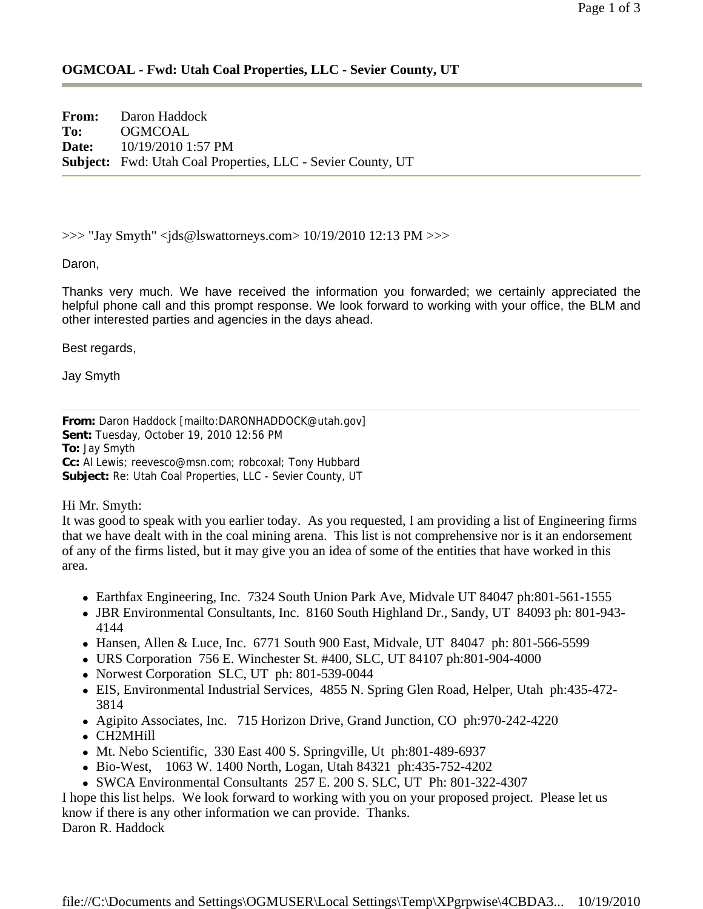## **OGMCOAL - Fwd: Utah Coal Properties, LLC - Sevier County, UT**

**From:** Daron Haddock **To:** OGMCOAL **Date:** 10/19/2010 1:57 PM **Subject:** Fwd: Utah Coal Properties, LLC - Sevier County, UT

 $\gg$  "Jay Smyth" <ids@lswattorneys.com > 10/19/2010 12:13 PM  $\gg$ 

Daron,

Thanks very much. We have received the information you forwarded; we certainly appreciated the helpful phone call and this prompt response. We look forward to working with your office, the BLM and other interested parties and agencies in the days ahead.

Best regards,

Jay Smyth

**From:** Daron Haddock [mailto:DARONHADDOCK@utah.gov] **Sent:** Tuesday, October 19, 2010 12:56 PM **To:** Jay Smyth **Cc:** Al Lewis; reevesco@msn.com; robcoxal; Tony Hubbard **Subject:** Re: Utah Coal Properties, LLC - Sevier County, UT

Hi Mr. Smyth:

It was good to speak with you earlier today. As you requested, I am providing a list of Engineering firms that we have dealt with in the coal mining arena. This list is not comprehensive nor is it an endorsement of any of the firms listed, but it may give you an idea of some of the entities that have worked in this area.

- Earthfax Engineering, Inc. 7324 South Union Park Ave, Midvale UT 84047 ph:801-561-1555
- JBR Environmental Consultants, Inc. 8160 South Highland Dr., Sandy, UT 84093 ph: 801-943-4144
- Hansen, Allen & Luce, Inc. 6771 South 900 East, Midvale, UT 84047 ph: 801-566-5599
- URS Corporation 756 E. Winchester St. #400, SLC, UT 84107 ph:801-904-4000
- Norwest Corporation SLC, UT ph: 801-539-0044
- EIS, Environmental Industrial Services, 4855 N. Spring Glen Road, Helper, Utah ph:435-472-3814
- Agipito Associates, Inc. 715 Horizon Drive, Grand Junction, CO ph: 970-242-4220
- CH2MHill
- Mt. Nebo Scientific, 330 East 400 S. Springville, Ut ph:801-489-6937
- <sup>z</sup> Bio-West, 1063 W. 1400 North, Logan, Utah 84321 ph:435-752-4202
- <sup>z</sup> SWCA Environmental Consultants 257 E. 200 S. SLC, UT Ph: 801-322-4307

I hope this list helps. We look forward to working with you on your proposed project. Please let us know if there is any other information we can provide. Thanks. Daron R. Haddock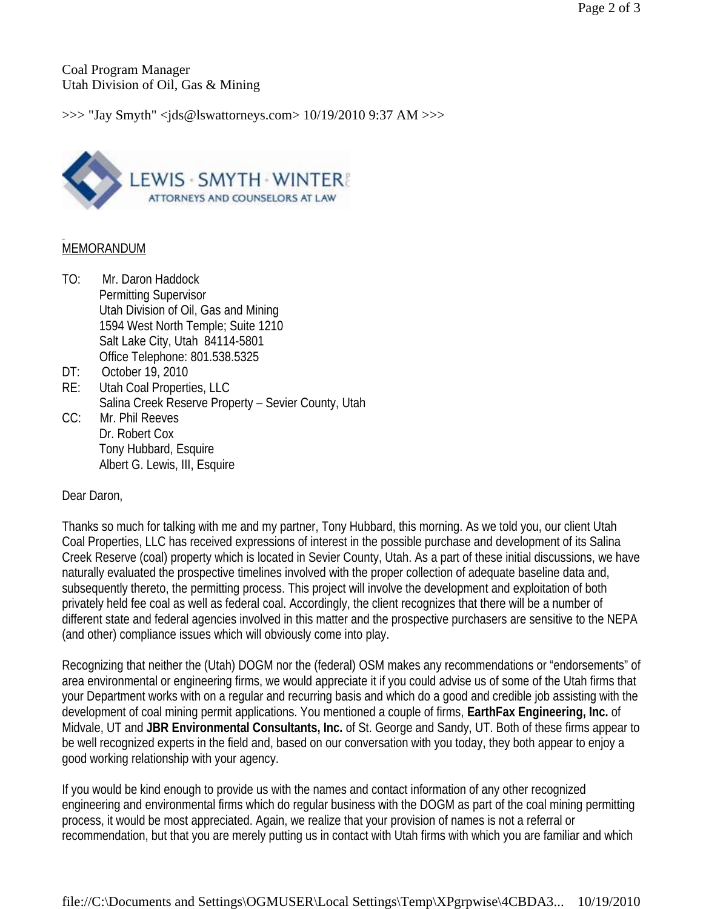Coal Program Manager Utah Division of Oil, Gas & Mining

>>> "Jay Smyth" <jds@lswattorneys.com> 10/19/2010 9:37 AM >>>



## MEMORANDUM

- TO: Mr. Daron Haddock Permitting Supervisor Utah Division of Oil, Gas and Mining 1594 West North Temple; Suite 1210 Salt Lake City, Utah 84114-5801 Office Telephone: 801.538.5325
- DT: October 19, 2010
- RE: Utah Coal Properties, LLC Salina Creek Reserve Property – Sevier County, Utah
- CC: Mr. Phil Reeves Dr. Robert Cox Tony Hubbard, Esquire Albert G. Lewis, III, Esquire

## Dear Daron,

Thanks so much for talking with me and my partner, Tony Hubbard, this morning. As we told you, our client Utah Coal Properties, LLC has received expressions of interest in the possible purchase and development of its Salina Creek Reserve (coal) property which is located in Sevier County, Utah. As a part of these initial discussions, we have naturally evaluated the prospective timelines involved with the proper collection of adequate baseline data and, subsequently thereto, the permitting process. This project will involve the development and exploitation of both privately held fee coal as well as federal coal. Accordingly, the client recognizes that there will be a number of different state and federal agencies involved in this matter and the prospective purchasers are sensitive to the NEPA (and other) compliance issues which will obviously come into play.

Recognizing that neither the (Utah) DOGM nor the (federal) OSM makes any recommendations or "endorsements" of area environmental or engineering firms, we would appreciate it if you could advise us of some of the Utah firms that your Department works with on a regular and recurring basis and which do a good and credible job assisting with the development of coal mining permit applications. You mentioned a couple of firms, **EarthFax Engineering, Inc.** of Midvale, UT and **JBR Environmental Consultants, Inc.** of St. George and Sandy, UT. Both of these firms appear to be well recognized experts in the field and, based on our conversation with you today, they both appear to enjoy a good working relationship with your agency.

If you would be kind enough to provide us with the names and contact information of any other recognized engineering and environmental firms which do regular business with the DOGM as part of the coal mining permitting process, it would be most appreciated. Again, we realize that your provision of names is not a referral or recommendation, but that you are merely putting us in contact with Utah firms with which you are familiar and which